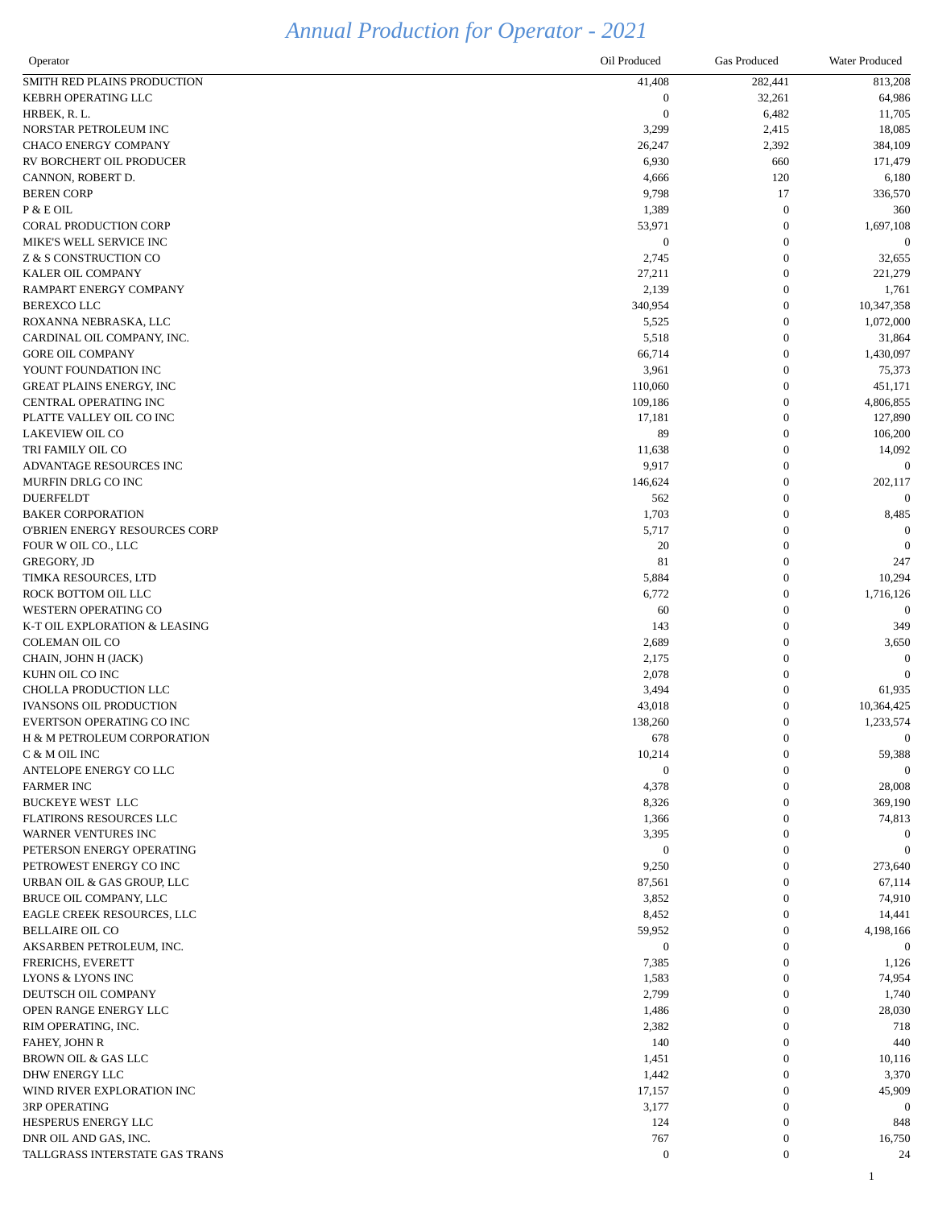## *Annual Production for Operator - 2021*

| Operator                        | Oil Produced     | <b>Gas Produced</b> | Water Produced |
|---------------------------------|------------------|---------------------|----------------|
| SMITH RED PLAINS PRODUCTION     | 41,408           | 282,441             | 813,208        |
| KEBRH OPERATING LLC             | $\theta$         | 32,261              | 64,986         |
| HRBEK, R. L.                    | $\theta$         | 6,482               | 11,705         |
| NORSTAR PETROLEUM INC           | 3,299            | 2,415               | 18,085         |
| <b>CHACO ENERGY COMPANY</b>     | 26,247           | 2,392               | 384,109        |
| RV BORCHERT OIL PRODUCER        | 6,930            | 660                 | 171,479        |
| CANNON, ROBERT D.               | 4,666            | 120                 | 6,180          |
| <b>BEREN CORP</b>               | 9,798            | 17                  | 336,570        |
| P & E OIL                       | 1,389            | $\boldsymbol{0}$    | 360            |
| <b>CORAL PRODUCTION CORP</b>    | 53,971           | $\boldsymbol{0}$    | 1,697,108      |
| MIKE'S WELL SERVICE INC         | $\boldsymbol{0}$ | $\boldsymbol{0}$    | $\theta$       |
| Z & S CONSTRUCTION CO           | 2,745            | $\boldsymbol{0}$    | 32,655         |
| KALER OIL COMPANY               | 27,211           | $\boldsymbol{0}$    | 221,279        |
| RAMPART ENERGY COMPANY          | 2,139            | $\boldsymbol{0}$    | 1,761          |
| <b>BEREXCO LLC</b>              | 340,954          | $\boldsymbol{0}$    | 10,347,358     |
| ROXANNA NEBRASKA, LLC           | 5,525            | $\boldsymbol{0}$    | 1,072,000      |
| CARDINAL OIL COMPANY, INC.      | 5,518            | $\boldsymbol{0}$    | 31,864         |
| <b>GORE OIL COMPANY</b>         | 66,714           | $\boldsymbol{0}$    | 1,430,097      |
| YOUNT FOUNDATION INC            | 3,961            | $\boldsymbol{0}$    | 75,373         |
| <b>GREAT PLAINS ENERGY, INC</b> | 110,060          | $\overline{0}$      | 451,171        |
| CENTRAL OPERATING INC           | 109,186          | $\boldsymbol{0}$    | 4,806,855      |
| PLATTE VALLEY OIL CO INC        | 17,181           | $\boldsymbol{0}$    | 127,890        |
| <b>LAKEVIEW OIL CO</b>          | 89               | $\boldsymbol{0}$    | 106,200        |
| TRI FAMILY OIL CO               | 11,638           | $\boldsymbol{0}$    | 14,092         |
| ADVANTAGE RESOURCES INC         | 9,917            | $\overline{0}$      | 0              |
| MURFIN DRLG CO INC              | 146,624          | $\theta$            | 202,117        |
| <b>DUERFELDT</b>                | 562              | $\theta$            | $\Omega$       |
| <b>BAKER CORPORATION</b>        | 1,703            | $\theta$            | 8,485          |
| O'BRIEN ENERGY RESOURCES CORP   | 5,717            | $\Omega$            | $\theta$       |
| FOUR W OIL CO., LLC             | 20               | $\theta$            | $\theta$       |
| <b>GREGORY. JD</b>              | 81               | $\overline{0}$      | 247            |
| TIMKA RESOURCES, LTD            | 5,884            | $\theta$            | 10,294         |
| ROCK BOTTOM OIL LLC             | 6,772            | $\theta$            | 1,716,126      |
| <b>WESTERN OPERATING CO</b>     | 60               | $\theta$            |                |
| K-T OIL EXPLORATION & LEASING   | 143              | $\Omega$            | 349            |
| <b>COLEMAN OIL CO</b>           | 2,689            | $\theta$            | 3,650          |
| CHAIN, JOHN H (JACK)            | 2,175            | $\theta$            | $\Omega$       |
| KUHN OIL CO INC                 | 2,078            | $\theta$            |                |
| CHOLLA PRODUCTION LLC           | 3,494            | $\overline{0}$      | 61,935         |
| <b>IVANSONS OIL PRODUCTION</b>  | 43,018           | $\theta$            | 10,364,425     |
| EVERTSON OPERATING CO INC       | 138,260          | $\theta$            | 1,233,574      |
| H & M PETROLEUM CORPORATION     | 678              | $\overline{0}$      | $\theta$       |
| C & M OIL INC                   | 10,214           | $\theta$            | 59,388         |
| ANTELOPE ENERGY COLLC           | $\theta$         | $\theta$            |                |
| <b>FARMER INC</b>               | 4,378            | $\overline{0}$      | 28,008         |
| <b>BUCKEYE WEST LLC</b>         | 8,326            | $\theta$            | 369,190        |
| FLATIRONS RESOURCES LLC         | 1,366            | $\theta$            | 74,813         |
| WARNER VENTURES INC             | 3,395            | $\theta$            |                |
| PETERSON ENERGY OPERATING       | $\Omega$         | $\theta$            |                |
| PETROWEST ENERGY CO INC         | 9,250            | $\overline{0}$      | 273,640        |
| URBAN OIL & GAS GROUP, LLC      | 87,561           | $\overline{0}$      | 67,114         |
| BRUCE OIL COMPANY, LLC          | 3,852            | $\theta$            | 74,910         |
| EAGLE CREEK RESOURCES, LLC      | 8,452            | $\Omega$            | 14,441         |
| <b>BELLAIRE OIL CO</b>          | 59,952           | $\overline{0}$      | 4,198,166      |
| AKSARBEN PETROLEUM, INC.        | $\overline{0}$   | $\theta$            | $\overline{0}$ |
| FRERICHS, EVERETT               | 7,385            | $\overline{0}$      | 1,126          |
| LYONS & LYONS INC               | 1,583            | $\overline{0}$      | 74,954         |
| DEUTSCH OIL COMPANY             | 2,799            | $\theta$            | 1,740          |
| OPEN RANGE ENERGY LLC           | 1,486            | $\Omega$            | 28,030         |
| RIM OPERATING, INC.             | 2,382            | $\theta$            | 718            |
| FAHEY, JOHN R                   | 140              | $\theta$            | 440            |
| <b>BROWN OIL &amp; GAS LLC</b>  | 1,451            |                     | 10,116         |
| DHW ENERGY LLC                  | 1,442            | $\theta$            | 3,370          |
| WIND RIVER EXPLORATION INC      | 17,157           | $\boldsymbol{0}$    | 45,909         |
| <b>3RP OPERATING</b>            | 3,177            | $\Omega$            |                |
| HESPERUS ENERGY LLC             | 124              | $\overline{0}$      | 848            |
| DNR OIL AND GAS, INC.           | 767              | $\theta$            | 16,750         |
| TALLGRASS INTERSTATE GAS TRANS  | $\boldsymbol{0}$ | $\boldsymbol{0}$    | 24             |